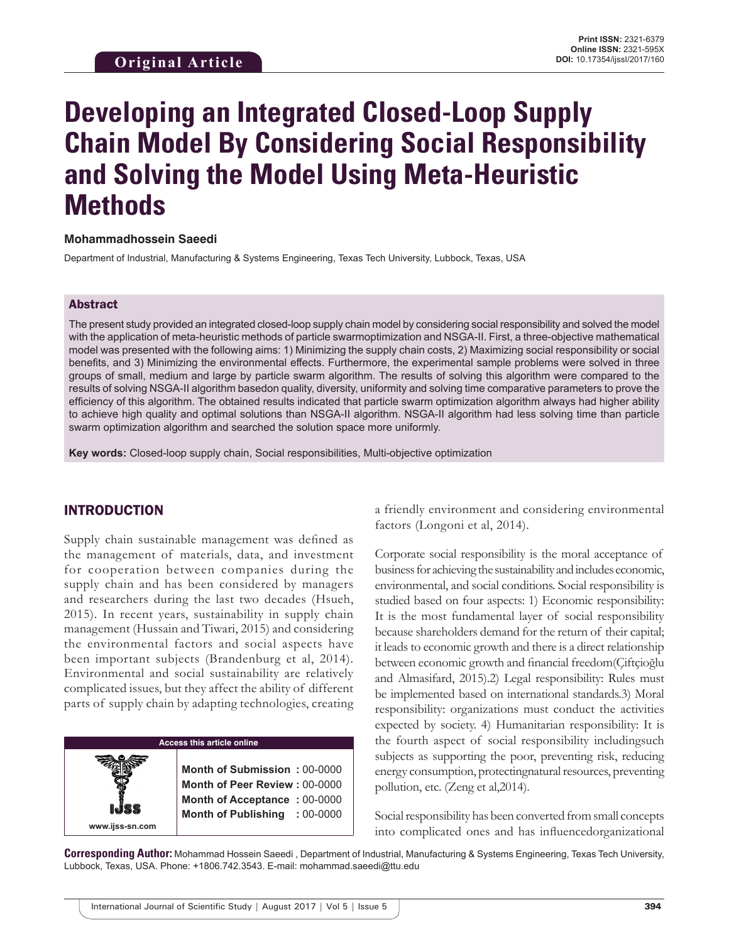# **Developing an Integrated Closed-Loop Supply Chain Model By Considering Social Responsibility and Solving the Model Using Meta-Heuristic Methods**

#### **Mohammadhossein Saeedi**

Department of Industrial, Manufacturing & Systems Engineering, Texas Tech University, Lubbock, Texas, USA

#### Abstract

The present study provided an integrated closed-loop supply chain model by considering social responsibility and solved the model with the application of meta-heuristic methods of particle swarmoptimization and NSGA-II. First, a three-objective mathematical model was presented with the following aims: 1) Minimizing the supply chain costs, 2) Maximizing social responsibility or social benefits, and 3) Minimizing the environmental effects. Furthermore, the experimental sample problems were solved in three groups of small, medium and large by particle swarm algorithm. The results of solving this algorithm were compared to the results of solving NSGA-II algorithm basedon quality, diversity, uniformity and solving time comparative parameters to prove the efficiency of this algorithm. The obtained results indicated that particle swarm optimization algorithm always had higher ability to achieve high quality and optimal solutions than NSGA-II algorithm. NSGA-II algorithm had less solving time than particle swarm optimization algorithm and searched the solution space more uniformly.

**Key words:** Closed-loop supply chain, Social responsibilities, Multi-objective optimization

#### INTRODUCTION

**www.ijss-sn.com**

Supply chain sustainable management was defined as the management of materials, data, and investment for cooperation between companies during the supply chain and has been considered by managers and researchers during the last two decades (Hsueh, 2015). In recent years, sustainability in supply chain management (Hussain and Tiwari, 2015) and considering the environmental factors and social aspects have been important subjects (Brandenburg et al, 2014). Environmental and social sustainability are relatively complicated issues, but they affect the ability of different parts of supply chain by adapting technologies, creating

#### **Access this article online**

**Month of Submission :** 00-0000 **Month of Peer Review :** 00-0000 **Month of Acceptance :** 00-0000 **Month of Publishing :** 00-0000 a friendly environment and considering environmental factors (Longoni et al, 2014).

Corporate social responsibility is the moral acceptance of business for achieving the sustainability and includes economic, environmental, and social conditions. Social responsibility is studied based on four aspects: 1) Economic responsibility: It is the most fundamental layer of social responsibility because shareholders demand for the return of their capital; it leads to economic growth and there is a direct relationship between economic growth and financial freedom(Çiftçioğlu and Almasifard, 2015).2) Legal responsibility: Rules must be implemented based on international standards.3) Moral responsibility: organizations must conduct the activities expected by society. 4) Humanitarian responsibility: It is the fourth aspect of social responsibility includingsuch subjects as supporting the poor, preventing risk, reducing energy consumption, protectingnatural resources, preventing pollution, etc. (Zeng et al,2014).

Social responsibility has been converted from small concepts into complicated ones and has influencedorganizational

**Corresponding Author:** Mohammad Hossein Saeedi , Department of Industrial, Manufacturing & Systems Engineering, Texas Tech University, Lubbock, Texas, USA. Phone: +1806.742.3543. E-mail: mohammad.saeedi@ttu.edu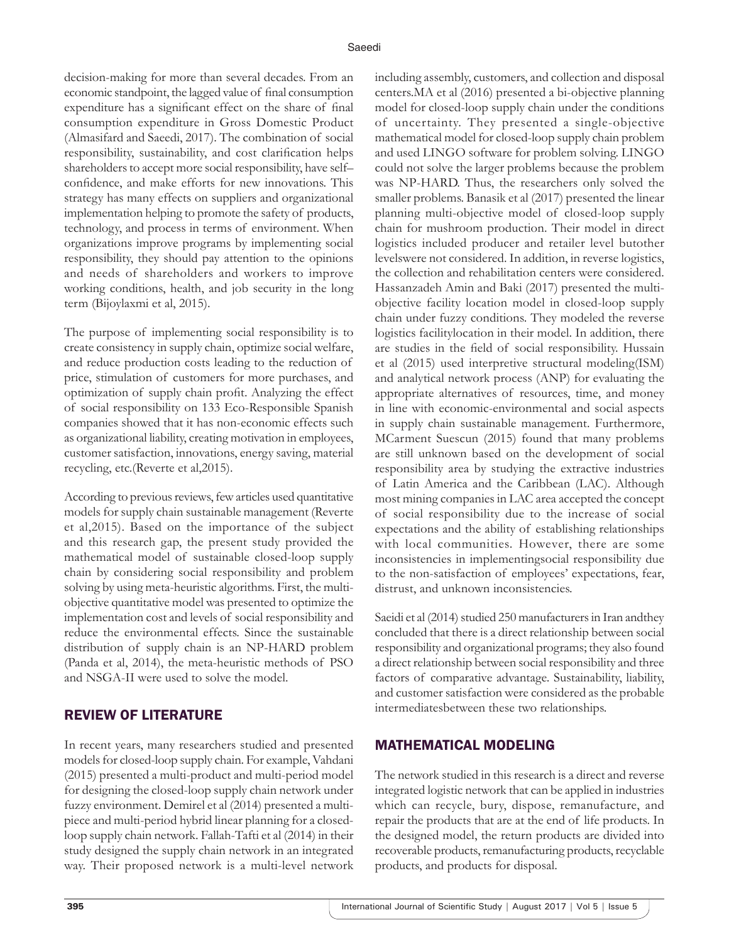decision-making for more than several decades. From an economic standpoint, the lagged value of final consumption expenditure has a significant effect on the share of final consumption expenditure in Gross Domestic Product (Almasifard and Saeedi, 2017). The combination of social responsibility, sustainability, and cost clarification helps shareholders to accept more social responsibility, have self– confidence, and make efforts for new innovations. This strategy has many effects on suppliers and organizational implementation helping to promote the safety of products, technology, and process in terms of environment. When organizations improve programs by implementing social responsibility, they should pay attention to the opinions and needs of shareholders and workers to improve working conditions, health, and job security in the long term (Bijoylaxmi et al, 2015).

The purpose of implementing social responsibility is to create consistency in supply chain, optimize social welfare, and reduce production costs leading to the reduction of price, stimulation of customers for more purchases, and optimization of supply chain profit. Analyzing the effect of social responsibility on 133 Eco-Responsible Spanish companies showed that it has non-economic effects such as organizational liability, creating motivation in employees, customer satisfaction, innovations, energy saving, material recycling, etc.(Reverte et al,2015).

According to previous reviews, few articles used quantitative models for supply chain sustainable management (Reverte et al,2015). Based on the importance of the subject and this research gap, the present study provided the mathematical model of sustainable closed-loop supply chain by considering social responsibility and problem solving by using meta-heuristic algorithms. First, the multiobjective quantitative model was presented to optimize the implementation cost and levels of social responsibility and reduce the environmental effects. Since the sustainable distribution of supply chain is an NP-HARD problem (Panda et al, 2014), the meta-heuristic methods of PSO and NSGA-II were used to solve the model.

## REVIEW OF LITERATURE

In recent years, many researchers studied and presented models for closed-loop supply chain. For example, Vahdani (2015) presented a multi-product and multi-period model for designing the closed-loop supply chain network under fuzzy environment. Demirel et al (2014) presented a multipiece and multi-period hybrid linear planning for a closedloop supply chain network. Fallah-Tafti et al (2014) in their study designed the supply chain network in an integrated way. Their proposed network is a multi-level network including assembly, customers, and collection and disposal centers.MA et al (2016) presented a bi-objective planning model for closed-loop supply chain under the conditions of uncertainty. They presented a single-objective mathematical model for closed-loop supply chain problem and used LINGO software for problem solving. LINGO could not solve the larger problems because the problem was NP-HARD. Thus, the researchers only solved the smaller problems. Banasik et al (2017) presented the linear planning multi-objective model of closed-loop supply chain for mushroom production. Their model in direct logistics included producer and retailer level butother levelswere not considered. In addition, in reverse logistics, the collection and rehabilitation centers were considered. Hassanzadeh Amin and Baki (2017) presented the multiobjective facility location model in closed-loop supply chain under fuzzy conditions. They modeled the reverse logistics facilitylocation in their model. In addition, there are studies in the field of social responsibility. Hussain et al (2015) used interpretive structural modeling(ISM) and analytical network process (ANP) for evaluating the appropriate alternatives of resources, time, and money in line with economic-environmental and social aspects in supply chain sustainable management. Furthermore, MCarment Suescun (2015) found that many problems are still unknown based on the development of social responsibility area by studying the extractive industries of Latin America and the Caribbean (LAC). Although most mining companies in LAC area accepted the concept of social responsibility due to the increase of social expectations and the ability of establishing relationships with local communities. However, there are some inconsistencies in implementingsocial responsibility due to the non-satisfaction of employees' expectations, fear, distrust, and unknown inconsistencies.

Saeidi et al (2014) studied 250 manufacturers in Iran andthey concluded that there is a direct relationship between social responsibility and organizational programs; they also found a direct relationship between social responsibility and three factors of comparative advantage. Sustainability, liability, and customer satisfaction were considered as the probable intermediatesbetween these two relationships.

## MATHEMATICAL MODELING

The network studied in this research is a direct and reverse integrated logistic network that can be applied in industries which can recycle, bury, dispose, remanufacture, and repair the products that are at the end of life products. In the designed model, the return products are divided into recoverable products, remanufacturing products, recyclable products, and products for disposal.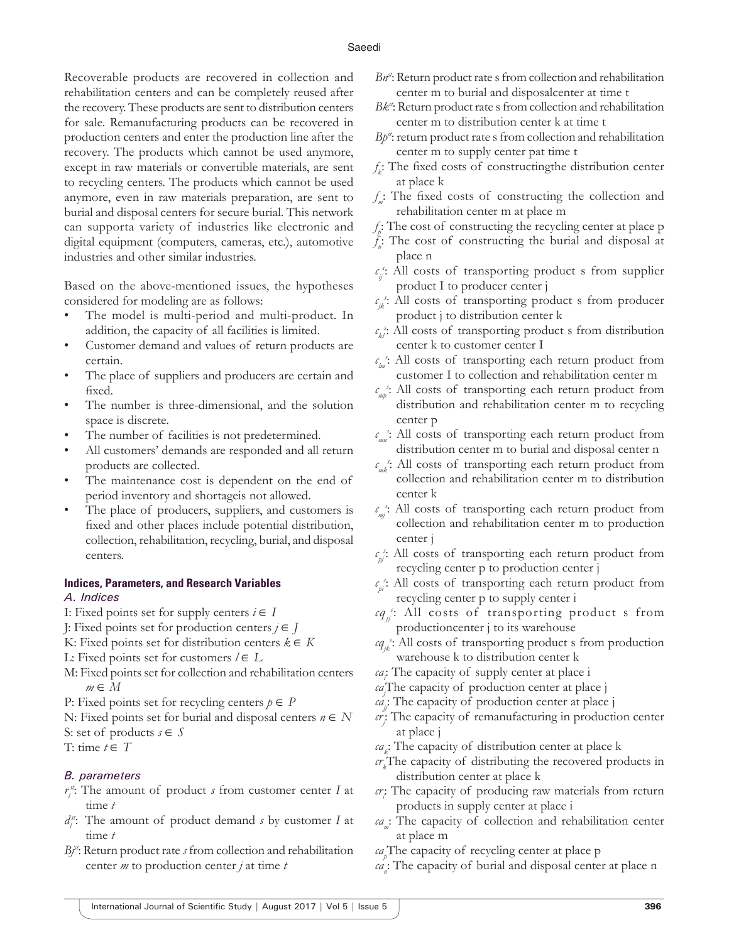Recoverable products are recovered in collection and rehabilitation centers and can be completely reused after the recovery. These products are sent to distribution centers for sale. Remanufacturing products can be recovered in production centers and enter the production line after the recovery. The products which cannot be used anymore, except in raw materials or convertible materials, are sent to recycling centers. The products which cannot be used anymore, even in raw materials preparation, are sent to burial and disposal centers for secure burial. This network can supporta variety of industries like electronic and digital equipment (computers, cameras, etc.), automotive industries and other similar industries.

Based on the above-mentioned issues, the hypotheses considered for modeling are as follows:

- The model is multi-period and multi-product. In addition, the capacity of all facilities is limited.
- Customer demand and values of return products are certain.
- The place of suppliers and producers are certain and fixed.
- The number is three-dimensional, and the solution space is discrete.
- The number of facilities is not predetermined.
- All customers' demands are responded and all return products are collected.
- The maintenance cost is dependent on the end of period inventory and shortageis not allowed.
- The place of producers, suppliers, and customers is fixed and other places include potential distribution, collection, rehabilitation, recycling, burial, and disposal centers.

# **Indices, Parameters, and Research Variables**

#### *A. Indices*

- I: Fixed points set for supply centers  $i \in I$
- J: Fixed points set for production centers *j* ∈ *J*
- K: Fixed points set for distribution centers  $k \in K$
- L: Fixed points set for customers  $$
- M: Fixed points set for collection and rehabilitation centers *m* ∈ *M*
- P: Fixed points set for recycling centers  $p \in P$
- N: Fixed points set for burial and disposal centers *n* ∈ *N*
- S: set of products  $s \in S$

T: time  $t \in T$ 

#### *B. parameters*

- $r_i^{st}$ : The amount of product *s* from customer center *I* at time *t*
- $d_i^{\mathcal{A}}$ : The amount of product demand *s* by customer *I* at time *t*
- *B*<sup>*j* $\cdot$ </sup>: Return product rate *s* from collection and rehabilitation center *m* to production center *j* at time *t*
- *Bn<sup>d</sup>*: Return product rate s from collection and rehabilitation center m to burial and disposalcenter at time t
- *Bk<sup>tt</sup>*: Return product rate s from collection and rehabilitation center m to distribution center k at time t
- *Bp<sup>st</sup>*: return product rate s from collection and rehabilitation center m to supply center pat time t
- *f k* : The fixed costs of constructingthe distribution center at place k
- *f <sup>m</sup>*: The fixed costs of constructing the collection and rehabilitation center m at place m
- *f p* : The cost of constructing the recycling center at place p
- *f n* : The cost of constructing the burial and disposal at place n
- $c_{ij}$ <sup>c</sup>: All costs of transporting product s from supplier product I to producer center j
- $c_{jk}$ <sup>e</sup>: All costs of transporting product s from producer product j to distribution center k
- $c_{kl}$ : All costs of transporting product s from distribution center k to customer center I
- *c lm s* : All costs of transporting each return product from customer I to collection and rehabilitation center m
- *c mp s* : All costs of transporting each return product from distribution and rehabilitation center m to recycling center p
- *c mn s* : All costs of transporting each return product from distribution center m to burial and disposal center n
- $c$ <sup>*mk*</sup>: All costs of transporting each return product from collection and rehabilitation center m to distribution center k
- *c mj s* : All costs of transporting each return product from collection and rehabilitation center m to production center j
- $c_{p}$ <sup>2</sup>: All costs of transporting each return product from recycling center p to production center j
- $c_{pi}$ <sup>s</sup>: All costs of transporting each return product from recycling center p to supply center i
- *cqjj s* : All costs of transporting product s from productioncenter j to its warehouse
- *cqjk s* : All costs of transporting product s from production warehouse k to distribution center k
- *cai* : The capacity of supply center at place i
- *caj* The capacity of production center at place j
- *cajj*: The capacity of production center at place j
- *crj* : The capacity of remanufacturing in production center at place j
- *cak* : The capacity of distribution center at place k
- *crk* The capacity of distributing the recovered products in distribution center at place k
- *cri* : The capacity of producing raw materials from return products in supply center at place i
- *ca*: The capacity of collection and rehabilitation center at place m
- *ca p* The capacity of recycling center at place p
- $ca_n$ : The capacity of burial and disposal center at place n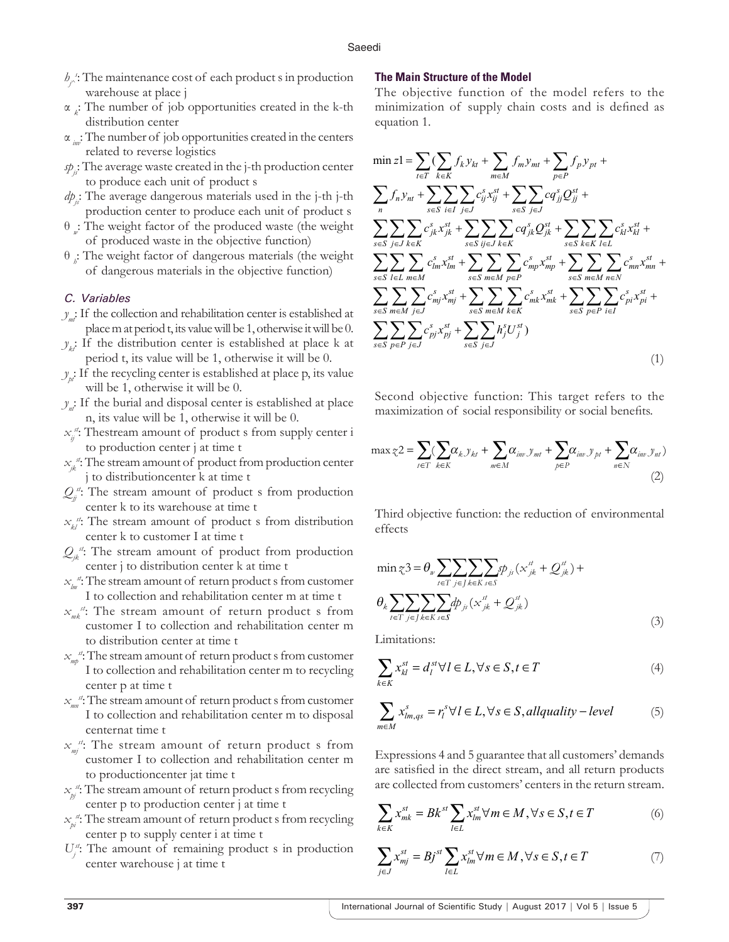- *hj^ s* : The maintenance cost of each product s in production warehouse at place j
- α *k* : The number of job opportunities created in the k-th distribution center
- α *inv*: The number of job opportunities created in the centers related to reverse logistics
- *spjs*: The average waste created in the j-th production center to produce each unit of product s
- *dp*: The average dangerous materials used in the j-th j-th production center to produce each unit of product s
- θ *w* : The weight factor of the produced waste (the weight of produced waste in the objective function)
- θ *h* : The weight factor of dangerous materials (the weight of dangerous materials in the objective function)

#### *C. Variables*

- $y_{m}$ : If the collection and rehabilitation center is established at place m at period t, its value will be 1, otherwise it will be 0.
- $y_k$ <sup>t</sup>: If the distribution center is established at place k at period t, its value will be 1, otherwise it will be 0.
- $y_n$ : If the recycling center is established at place p, its value will be 1, otherwise it will be 0.
- *y*: If the burial and disposal center is established at place n, its value will be 1, otherwise it will be 0.
- *xij st*: Thestream amount of product s from supply center i to production center j at time t
- *xjk st*: The stream amount of product from production center j to distributioncenter k at time t
- $Q_{ij}$ <sup> $d$ </sup>: The stream amount of product s from production center k to its warehouse at time t
- $x_{ki}$ <sup>t</sup>: The stream amount of product s from distribution center k to customer I at time t
- $Q_{jk}$ <sup>t</sup>: The stream amount of product from production center j to distribution center k at time t
- *xlm st*: The stream amount of return product s from customer I to collection and rehabilitation center m at time t
- *xmk st*: The stream amount of return product s from customer I to collection and rehabilitation center m to distribution center at time t
- *xmp st*: The stream amount of return product s from customer I to collection and rehabilitation center m to recycling center p at time t
- *xmn st*: The stream amount of return product s from customer I to collection and rehabilitation center m to disposal centernat time t
- *xmj st*: The stream amount of return product s from customer I to collection and rehabilitation center m to productioncenter jat time t
- *xpj st*: The stream amount of return product s from recycling center p to production center j at time t
- *xpi st*: The stream amount of return product s from recycling center p to supply center i at time t
- $U_j^s$ : The amount of remaining product s in production center warehouse j at time t

#### **The Main Structure of the Model**

The objective function of the model refers to the minimization of supply chain costs and is defined as equation 1.

$$
\min z1 = \sum_{t \in T} (\sum_{k \in K} f_k y_{kt} + \sum_{m \in M} f_m y_{mt} + \sum_{p \in P} f_p y_{pt} + \sum_{t \in T} f_n y_{nt} + \sum_{s \in S} \sum_{i \in I} c_{ij}^s x_{ij}^{st} + \sum_{s \in S} \sum_{j \in J} c q_{jj}^s Q_{jj}^{st} + \sum_{s \in S} \sum_{j \in J} \sum_{k \in K} c_{jk}^s x_{jk}^{st} + \sum_{s \in S} \sum_{j \in J} c q_{jk}^s Q_{jk}^{st} + \sum_{s \in S} \sum_{k \in K} \sum_{l \in L} c_{kl}^s x_{kl}^{st} + \sum_{s \in S} \sum_{j \in J} \sum_{k \in K} c q_{jk}^s Q_{jk}^{st} + \sum_{s \in S} \sum_{k \in K} \sum_{l \in L} c_{kl}^s x_{kl}^{st} + \sum_{s \in S} \sum_{l \in L} \sum_{m \in M} c_{lm}^s x_{lm}^{st} + \sum_{s \in S} \sum_{m \in M} \sum_{p \in P} c_{mp}^s x_{mp}^{st} + \sum_{s \in S} \sum_{m \in M} \sum_{k \in K} c_{mk}^s x_{mk}^{st} + \sum_{s \in S} \sum_{p \in P} \sum_{i \in I} c_{pi}^s x_{pi}^{st} + \sum_{s \in S} \sum_{p \in P} \sum_{j \in J} c_{pi}^s x_{pi}^{st} + \sum_{s \in S} \sum_{p \in P} \sum_{j \in J} c_{pi}^s x_{pi}^{st} + \sum_{s \in S} \sum_{p \in P} h_j^s U_j^s)
$$
\n(1)

Second objective function: This target refers to the maximization of social responsibility or social benefits.

$$
\max z2 = \sum_{t \in T} (\sum_{k \in K} \alpha_{k} y_{kt} + \sum_{m \in M} \alpha_{im} y_{mt} + \sum_{p \in P} \alpha_{im} y_{pt} + \sum_{n \in N} \alpha_{im} y_{nt})
$$
\n(2)

Third objective function: the reduction of environmental effects

$$
\min \mathcal{Z}^3 = \theta_{w} \sum_{t \in T} \sum_{j \in J} \sum_{k \in K} \sum_{s \in S} \mathcal{P}_{j}(\mathbf{x}_{jk}^{st} + \mathcal{Q}_{jk}^{st}) +
$$

$$
\theta_{k} \sum_{t \in T} \sum_{j \in J} \sum_{k \in K} \sum_{s \in S} d p_{j}(\mathbf{x}_{jk}^{st} + \mathcal{Q}_{jk}^{st})
$$
(3)

Limitations:

$$
\sum_{k \in K} x_{kl}^{st} = d_l^{st} \forall l \in L, \forall s \in S, t \in T
$$
\n<sup>(4)</sup>

$$
\sum_{m \in M} x_{lm,qs}^s = r_l^s \forall l \in L, \forall s \in S, all quality-level \tag{5}
$$

Expressions 4 and 5 guarantee that all customers' demands are satisfied in the direct stream, and all return products are collected from customers' centers in the return stream.

$$
\sum_{k \in K} x_{mk}^{st} = Bk^{st} \sum_{l \in L} x_{lm}^{st} \forall m \in M, \forall s \in S, t \in T
$$
 (6)

$$
\sum_{j \in J} x_{mj}^{st} = Bj^{st} \sum_{l \in L} x_{lm}^{st} \forall m \in M, \forall s \in S, t \in T
$$
 (7)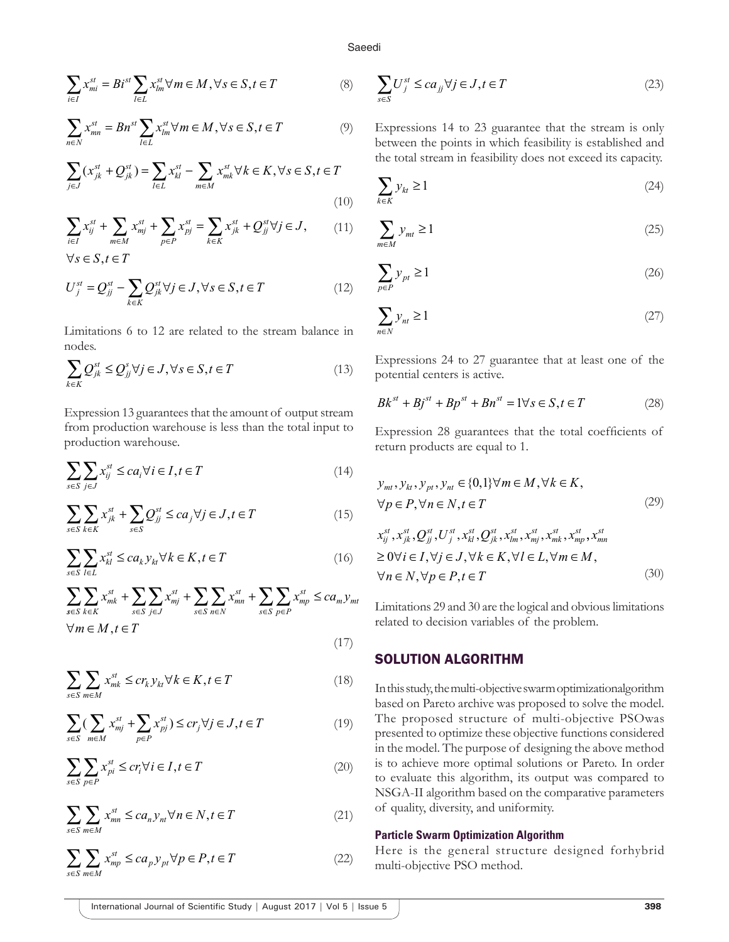$$
\sum_{i \in I} x_{mi}^{st} = Bi^{st} \sum_{l \in L} x_{lm}^{st} \forall m \in M, \forall s \in S, t \in T
$$
 (8)

$$
\sum_{n\in N} x_{mn}^{st} = Bn^{st} \sum_{l\in L} x_{lm}^{st} \forall m \in M, \forall s \in S, t \in T
$$
 (9)

$$
\sum_{j\in J} (x_{jk}^{st} + Q_{jk}^{st}) = \sum_{l\in L} x_{kl}^{st} - \sum_{m\in M} x_{mk}^{st} \forall k \in K, \forall s \in S, t \in T
$$
\n(10)

$$
\sum_{i \in I} x_{ij}^{st} + \sum_{m \in M} x_{mj}^{st} + \sum_{p \in P} x_{pj}^{st} = \sum_{k \in K} x_{jk}^{st} + Q_{jj}^{st} \forall j \in J,
$$
 (11)

 $\forall s \in S, t \in T$ 

$$
U_j^{st} = Q_{jj}^{st} - \sum_{k \in K} Q_{jk}^{st} \forall j \in J, \forall s \in S, t \in T
$$
\n
$$
(12)
$$

Limitations 6 to 12 are related to the stream balance in nodes.

$$
\sum_{k \in K} Q_{jk}^{st} \le Q_{jj}^{s} \forall j \in J, \forall s \in S, t \in T
$$
\n(13)

Expression 13 guarantees that the amount of output stream from production warehouse is less than the total input to production warehouse.

$$
\sum_{s \in S} \sum_{j \in J} x_{ij}^{st} \le ca_i \forall i \in I, t \in T
$$
\n(14)

$$
\sum_{s \in S} \sum_{k \in K} x_{jk}^{st} + \sum_{s \in S} Q_{jj}^{st} \le ca_j \forall j \in J, t \in T
$$
\n(15)

$$
\sum_{s \in S} \sum_{l \in L} x_{kl}^{st} \leq c a_k y_{kt} \forall k \in K, t \in T
$$
\n
$$
(16)
$$

$$
\sum_{s \in S} \sum_{k \in K} x_{mk}^{st} + \sum_{s \in S} \sum_{j \in J} x_{mj}^{st} + \sum_{s \in S} \sum_{n \in N} x_{mn}^{st} + \sum_{s \in S} \sum_{p \in P} x_{mp}^{st} \le ca_m y_{mt}
$$
  

$$
\forall m \in M, t \in T
$$
 (17)

$$
\sum_{s \in S} \sum_{m \in M} x_{mk}^{st} \le c r_k y_{kt} \forall k \in K, t \in T
$$
\n(18)

$$
\sum_{s \in S} \left( \sum_{m \in M} x_{mj}^{st} + \sum_{p \in P} x_{pj}^{st} \right) \le c r_j \forall j \in J, t \in T
$$
\n<sup>(19)</sup>

$$
\sum_{s \in S} \sum_{p \in P} x_{pi}^{st} \le c r_i \forall i \in I, t \in T
$$
\n(20)

$$
\sum_{s \in S} \sum_{m \in M} x_{mn}^{st} \le ca_n y_{nt} \forall n \in N, t \in T
$$
\n(21)

$$
\sum_{s \in S} \sum_{m \in M} x_{mp}^{st} \le ca_p y_{pt} \forall p \in P, t \in T
$$
\n(22)

$$
\sum_{s \in S} U_j^{st} \le ca_{jj} \forall j \in J, t \in T
$$
\n(23)

Saeedi

Expressions 14 to 23 guarantee that the stream is only between the points in which feasibility is established and the total stream in feasibility does not exceed its capacity.

$$
\sum_{k \in K} y_{kt} \ge 1 \tag{24}
$$

$$
\sum_{m \in M} y_{mt} \ge 1 \tag{25}
$$

$$
\sum_{p \in P} y_{pt} \ge 1 \tag{26}
$$

$$
\sum_{n \in N} y_{nt} \ge 1 \tag{27}
$$

Expressions 24 to 27 guarantee that at least one of the potential centers is active.

$$
Bk^{st} + Bj^{st} + Bp^{st} + Bn^{st} = 1 \forall s \in S, t \in T
$$
 (28)

Expression 28 guarantees that the total coefficients of return products are equal to 1.

$$
y_{mt}, y_{kt}, y_{pt}, y_{nt} \in \{0,1\} \forall m \in M, \forall k \in K,
$$
  
\n
$$
\forall p \in P, \forall n \in N, t \in T
$$
 (29)  
\n
$$
x_{ij}^{st}, x_{jk}^{st}, Q_{jj}^{st}, U_{j}^{st}, x_{kl}^{st}, Q_{jk}^{st}, x_{lm}^{st}, x_{mj}^{st}, x_{mk}^{st}, x_{mp}^{st}, x_{mn}^{st}
$$
  
\n
$$
\geq 0 \forall i \in I, \forall j \in J, \forall k \in K, \forall l \in L, \forall m \in M,
$$
  
\n
$$
\forall n \in N, \forall p \in P, t \in T
$$
 (30)

Limitations 29 and 30 are the logical and obvious limitations related to decision variables of the problem.

## SOLUTION ALGORITHM

In this study, the multi-objective swarm optimizationalgorithm based on Pareto archive was proposed to solve the model. The proposed structure of multi-objective PSOwas presented to optimize these objective functions considered in the model. The purpose of designing the above method is to achieve more optimal solutions or Pareto. In order to evaluate this algorithm, its output was compared to NSGA-II algorithm based on the comparative parameters of quality, diversity, and uniformity.

#### **Particle Swarm Optimization Algorithm**

Here is the general structure designed forhybrid multi-objective PSO method.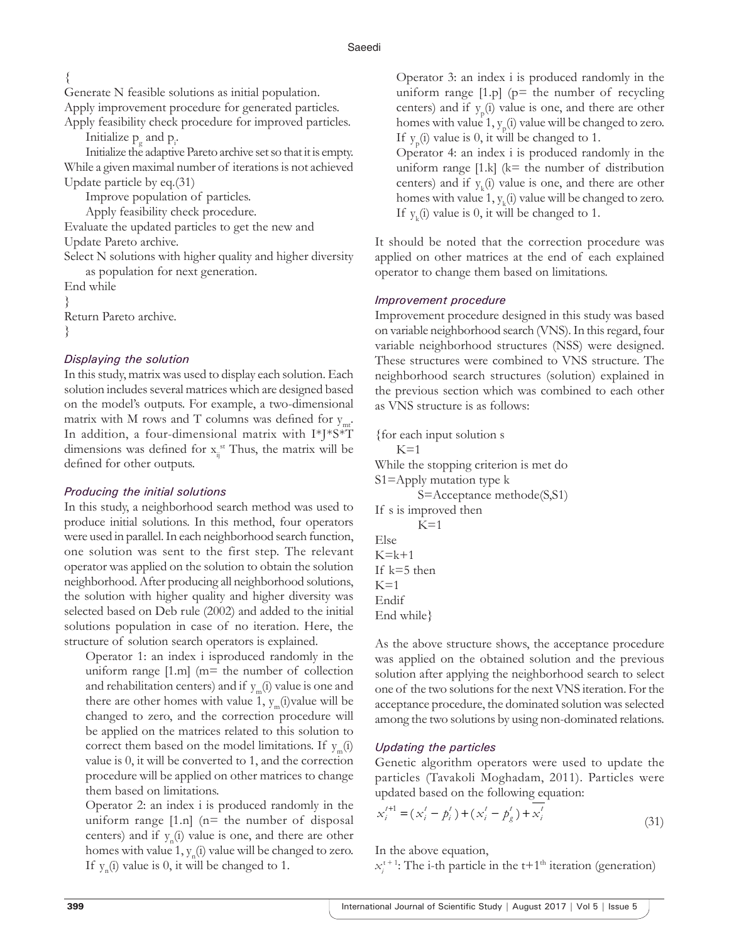## {

Generate N feasible solutions as initial population.

Apply improvement procedure for generated particles.

Apply feasibility check procedure for improved particles. Initialize  $p_{g}$  and  $p_{i}$ .

Initialize the adaptive Pareto archive set so that it is empty. While a given maximal number of iterations is not achieved Update particle by eq.(31)

Improve population of particles.

Apply feasibility check procedure.

Evaluate the updated particles to get the new and Update Pareto archive.

Select N solutions with higher quality and higher diversity as population for next generation.

```
End while
}
Return Pareto archive.
```
## }

## *Displaying the solution*

In this study, matrix was used to display each solution. Each solution includes several matrices which are designed based on the model's outputs. For example, a two-dimensional matrix with M rows and T columns was defined for  $y_{\text{mt}}$ . In addition, a four-dimensional matrix with I\*J\*S\*T dimensions was defined for  $x_{ij}$ <sup>st</sup> Thus, the matrix will be defined for other outputs.

## *Producing the initial solutions*

In this study, a neighborhood search method was used to produce initial solutions. In this method, four operators were used in parallel. In each neighborhood search function, one solution was sent to the first step. The relevant operator was applied on the solution to obtain the solution neighborhood. After producing all neighborhood solutions, the solution with higher quality and higher diversity was selected based on Deb rule (2002) and added to the initial solutions population in case of no iteration. Here, the structure of solution search operators is explained.

Operator 1: an index i isproduced randomly in the uniform range  $[1.m]$  (m= the number of collection and rehabilitation centers) and if  $y_m(i)$  value is one and there are other homes with value 1,  $y_m(i)$  value will be changed to zero, and the correction procedure will be applied on the matrices related to this solution to correct them based on the model limitations. If  $y_m(i)$ value is 0, it will be converted to 1, and the correction procedure will be applied on other matrices to change them based on limitations.

Operator 2: an index i is produced randomly in the uniform range  $[1.n]$  ( $n=$  the number of disposal centers) and if  $y_n(i)$  value is one, and there are other homes with value  $1, y_n(i)$  value will be changed to zero. If  $y_n(i)$  value is 0, it will be changed to 1.

Operator 3: an index i is produced randomly in the uniform range  $[1,p]$  ( $p=$  the number of recycling centers) and if  $y_p(i)$  value is one, and there are other homes with value 1,  $y_p(i)$  value will be changed to zero. If  $y_p(i)$  value is 0, it will be changed to 1.

Operator 4: an index i is produced randomly in the uniform range  $[1,k]$  (k= the number of distribution centers) and if  $y_k(i)$  value is one, and there are other homes with value  $1, y_k(i)$  value will be changed to zero. If  $y_k(i)$  value is 0, it will be changed to 1.

It should be noted that the correction procedure was applied on other matrices at the end of each explained operator to change them based on limitations.

## *Improvement procedure*

Improvement procedure designed in this study was based on variable neighborhood search (VNS). In this regard, four variable neighborhood structures (NSS) were designed. These structures were combined to VNS structure. The neighborhood search structures (solution) explained in the previous section which was combined to each other as VNS structure is as follows:

{for each input solution s  $K=1$ While the stopping criterion is met do S1=Apply mutation type k S=Acceptance methode(S,S1) If s is improved then  $K=1$ Else  $K=k+1$ If k=5 then  $K=1$ Endif End while}

As the above structure shows, the acceptance procedure was applied on the obtained solution and the previous solution after applying the neighborhood search to select one of the two solutions for the next VNS iteration. For the acceptance procedure, the dominated solution was selected among the two solutions by using non-dominated relations.

## *Updating the particles*

Genetic algorithm operators were used to update the particles (Tavakoli Moghadam, 2011). Particles were updated based on the following equation:

$$
x_i^{t+1} = (x_i^t - p_i^t) + (x_i^t - p_g^t) + x_i^t
$$
\n(31)

In the above equation,

 $x_i^{t+1}$ : The i-th particle in the t+1<sup>th</sup> iteration (generation)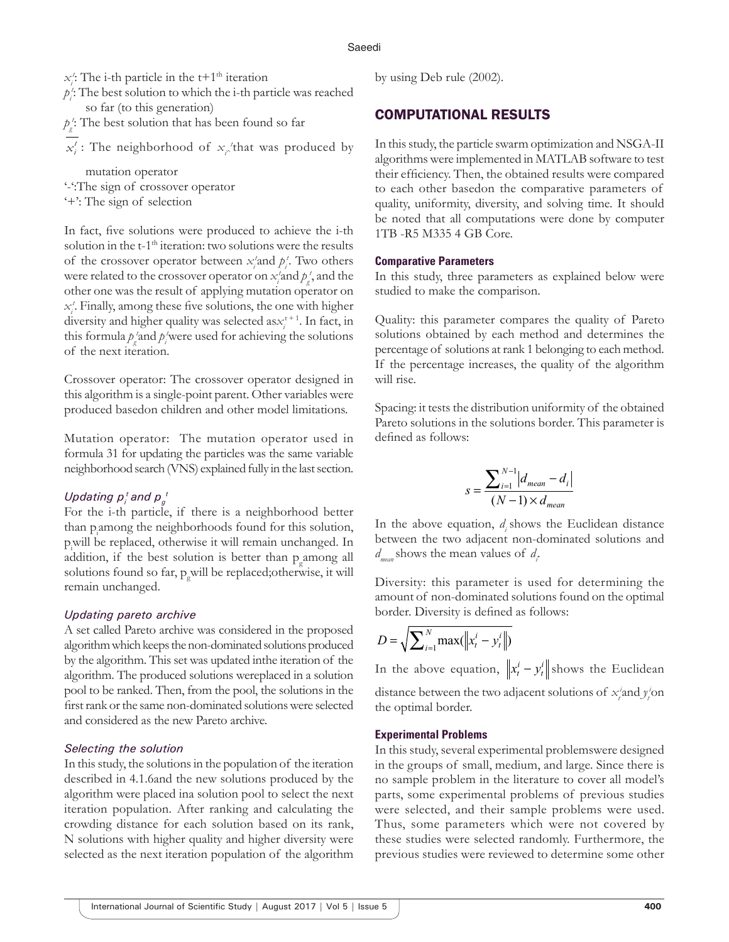$x_i'$ : The i-th particle in the t+1<sup>th</sup> iteration

- *pi t* : The best solution to which the i-th particle was reached so far (to this generation)
- $p_g$ <sup>t</sup>: The best solution that has been found so far
- $x_i^t$ : The neighborhood of  $x_i^t$  that was produced by

mutation operator

'-':The sign of crossover operator

'+': The sign of selection

In fact, five solutions were produced to achieve the i-th solution in the t-1<sup>th</sup> iteration: two solutions were the results of the crossover operator between  $x_i$  and  $p_i$ . Two others were related to the crossover operator on  $x_i^{\prime}$  and  $p_f^{\prime}$ , and the other one was the result of applying mutation operator on *xi t* . Finally, among these five solutions, the one with higher diversity and higher quality was selected as $x_i^{t+1}$ . In fact, in this formula  $p_i$  and  $p_i$  were used for achieving the solutions of the next iteration.

Crossover operator: The crossover operator designed in this algorithm is a single-point parent. Other variables were produced basedon children and other model limitations.

Mutation operator: The mutation operator used in formula 31 for updating the particles was the same variable neighborhood search (VNS) explained fully in the last section.

## Updating  $p^{\, t}_{i}$  and  $p^{\, \, t}_{g}$

For the i-th particle, if there is a neighborhood better than p<sub>i</sub>among the neighborhoods found for this solution, pi will be replaced, otherwise it will remain unchanged. In addition, if the best solution is better than  $p_g$  among all solutions found so far, p<sub>g</sub>will be replaced; otherwise, it will remain unchanged.

#### *Updating pareto archive*

A set called Pareto archive was considered in the proposed algorithm which keeps the non-dominated solutions produced by the algorithm. This set was updated inthe iteration of the algorithm. The produced solutions wereplaced in a solution pool to be ranked. Then, from the pool, the solutions in the first rank or the same non-dominated solutions were selected and considered as the new Pareto archive.

#### *Selecting the solution*

In this study, the solutions in the population of the iteration described in 4.1.6and the new solutions produced by the algorithm were placed ina solution pool to select the next iteration population. After ranking and calculating the crowding distance for each solution based on its rank, N solutions with higher quality and higher diversity were selected as the next iteration population of the algorithm by using Deb rule (2002).

## COMPUTATIONAL RESULTS

In this study, the particle swarm optimization and NSGA-II algorithms were implemented in MATLAB software to test their efficiency. Then, the obtained results were compared to each other basedon the comparative parameters of quality, uniformity, diversity, and solving time. It should be noted that all computations were done by computer 1TB -R5 M335 4 GB Core.

#### **Comparative Parameters**

In this study, three parameters as explained below were studied to make the comparison.

Quality: this parameter compares the quality of Pareto solutions obtained by each method and determines the percentage of solutions at rank 1 belonging to each method. If the percentage increases, the quality of the algorithm will rise.

Spacing: it tests the distribution uniformity of the obtained Pareto solutions in the solutions border. This parameter is defined as follows:

$$
s = \frac{\sum_{i=1}^{N-1} |d_{mean} - d_i|}{(N-1) \times d_{mean}}
$$

In the above equation, *di* shows the Euclidean distance between the two adjacent non-dominated solutions and *dmean* shows the mean values of *di* .

Diversity: this parameter is used for determining the amount of non-dominated solutions found on the optimal border. Diversity is defined as follows:

$$
D = \sqrt{\sum_{i=1}^{N} \max(||x_t^i - y_t^i||)}
$$

In the above equation,  $\left\| x_t^i - y_t^i \right\|$  shows the Euclidean distance between the two adjacent solutions of  $x_i^i$  and  $y_i^i$  on the optimal border.

#### **Experimental Problems**

In this study, several experimental problemswere designed in the groups of small, medium, and large. Since there is no sample problem in the literature to cover all model's parts, some experimental problems of previous studies were selected, and their sample problems were used. Thus, some parameters which were not covered by these studies were selected randomly. Furthermore, the previous studies were reviewed to determine some other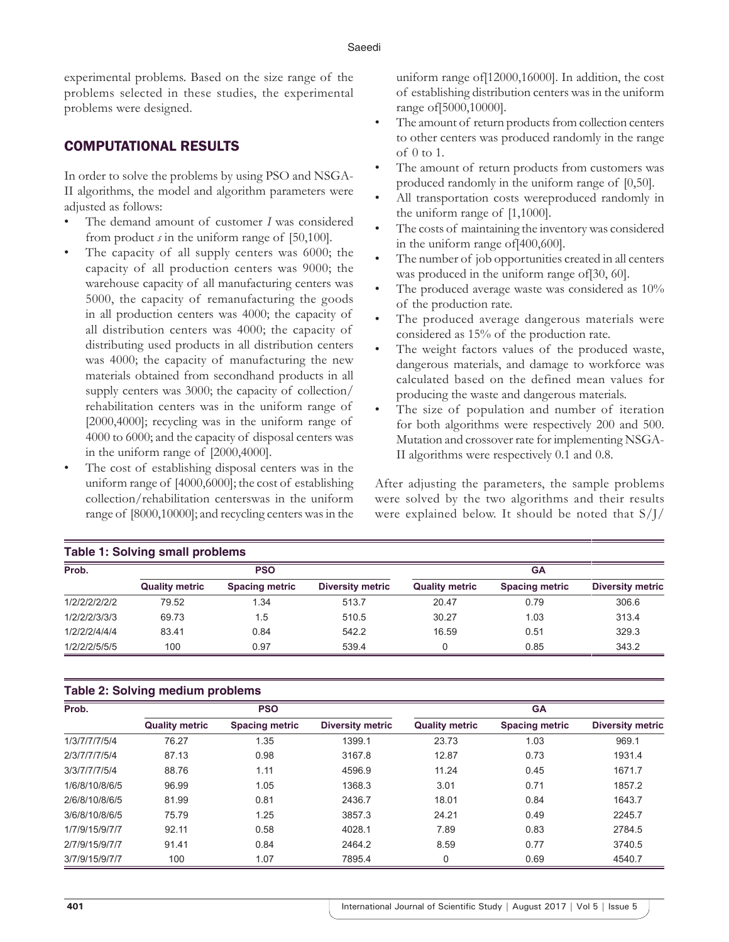experimental problems. Based on the size range of the problems selected in these studies, the experimental problems were designed.

## COMPUTATIONAL RESULTS

In order to solve the problems by using PSO and NSGA-II algorithms, the model and algorithm parameters were adjusted as follows:

- The demand amount of customer *I* was considered from product *s* in the uniform range of [50,100].
- The capacity of all supply centers was 6000; the capacity of all production centers was 9000; the warehouse capacity of all manufacturing centers was 5000, the capacity of remanufacturing the goods in all production centers was 4000; the capacity of all distribution centers was 4000; the capacity of distributing used products in all distribution centers was 4000; the capacity of manufacturing the new materials obtained from secondhand products in all supply centers was 3000; the capacity of collection/ rehabilitation centers was in the uniform range of [2000,4000]; recycling was in the uniform range of 4000 to 6000; and the capacity of disposal centers was in the uniform range of [2000,4000].
- The cost of establishing disposal centers was in the uniform range of [4000,6000]; the cost of establishing collection/rehabilitation centerswas in the uniform range of [8000,10000]; and recycling centers was in the

uniform range of[12000,16000]. In addition, the cost of establishing distribution centers was in the uniform range of[5000,10000].

- The amount of return products from collection centers to other centers was produced randomly in the range of 0 to 1.
- The amount of return products from customers was produced randomly in the uniform range of [0,50].
- All transportation costs wereproduced randomly in the uniform range of [1,1000].
- The costs of maintaining the inventory was considered in the uniform range of[400,600].
- The number of job opportunities created in all centers was produced in the uniform range of[30, 60].
- The produced average waste was considered as 10% of the production rate.
- The produced average dangerous materials were considered as 15% of the production rate.
- The weight factors values of the produced waste, dangerous materials, and damage to workforce was calculated based on the defined mean values for producing the waste and dangerous materials.
- The size of population and number of iteration for both algorithms were respectively 200 and 500. Mutation and crossover rate for implementing NSGA-II algorithms were respectively 0.1 and 0.8.

After adjusting the parameters, the sample problems were solved by the two algorithms and their results were explained below. It should be noted that S/J/

| <b>Table 1: Solving small problems</b> |                       |                       |                         |                       |                       |                  |  |  |
|----------------------------------------|-----------------------|-----------------------|-------------------------|-----------------------|-----------------------|------------------|--|--|
| Prob.                                  | <b>PSO</b>            |                       |                         | <b>GA</b>             |                       |                  |  |  |
|                                        | <b>Quality metric</b> | <b>Spacing metric</b> | <b>Diversity metric</b> | <b>Quality metric</b> | <b>Spacing metric</b> | Diversity metric |  |  |
| 1/2/2/2/2/2/2                          | 79.52                 | 1.34                  | 513.7                   | 20.47                 | 0.79                  | 306.6            |  |  |
| 1/2/2/2/3/3/3                          | 69.73                 | 1.5                   | 510.5                   | 30.27                 | 1.03                  | 313.4            |  |  |
| 1/2/2/2/4/4/4                          | 83.41                 | 0.84                  | 542.2                   | 16.59                 | 0.51                  | 329.3            |  |  |
| 1/2/2/2/5/5/5                          | 100                   | 0.97                  | 539.4                   | 0                     | 0.85                  | 343.2            |  |  |

## **Table 2: Solving medium problems**

| Prob.          |                       | <b>PSO</b>            |                         | <b>GA</b>             |                       |                         |  |
|----------------|-----------------------|-----------------------|-------------------------|-----------------------|-----------------------|-------------------------|--|
|                | <b>Quality metric</b> | <b>Spacing metric</b> | <b>Diversity metric</b> | <b>Quality metric</b> | <b>Spacing metric</b> | <b>Diversity metric</b> |  |
| 1/3/7/7/7/5/4  | 76.27                 | 1.35                  | 1399.1                  | 23.73                 | 1.03                  | 969.1                   |  |
| 2/3/7/7/7/5/4  | 87.13                 | 0.98                  | 3167.8                  | 12.87                 | 0.73                  | 1931.4                  |  |
| 3/3/7/7/7/5/4  | 88.76                 | 1.11                  | 4596.9                  | 11.24                 | 0.45                  | 1671.7                  |  |
| 1/6/8/10/8/6/5 | 96.99                 | 1.05                  | 1368.3                  | 3.01                  | 0.71                  | 1857.2                  |  |
| 2/6/8/10/8/6/5 | 81.99                 | 0.81                  | 2436.7                  | 18.01                 | 0.84                  | 1643.7                  |  |
| 3/6/8/10/8/6/5 | 75.79                 | 1.25                  | 3857.3                  | 24.21                 | 0.49                  | 2245.7                  |  |
| 1/7/9/15/9/7/7 | 92.11                 | 0.58                  | 4028.1                  | 7.89                  | 0.83                  | 2784.5                  |  |
| 2/7/9/15/9/7/7 | 91.41                 | 0.84                  | 2464.2                  | 8.59                  | 0.77                  | 3740.5                  |  |
| 3/7/9/15/9/7/7 | 100                   | 1.07                  | 7895.4                  | 0                     | 0.69                  | 4540.7                  |  |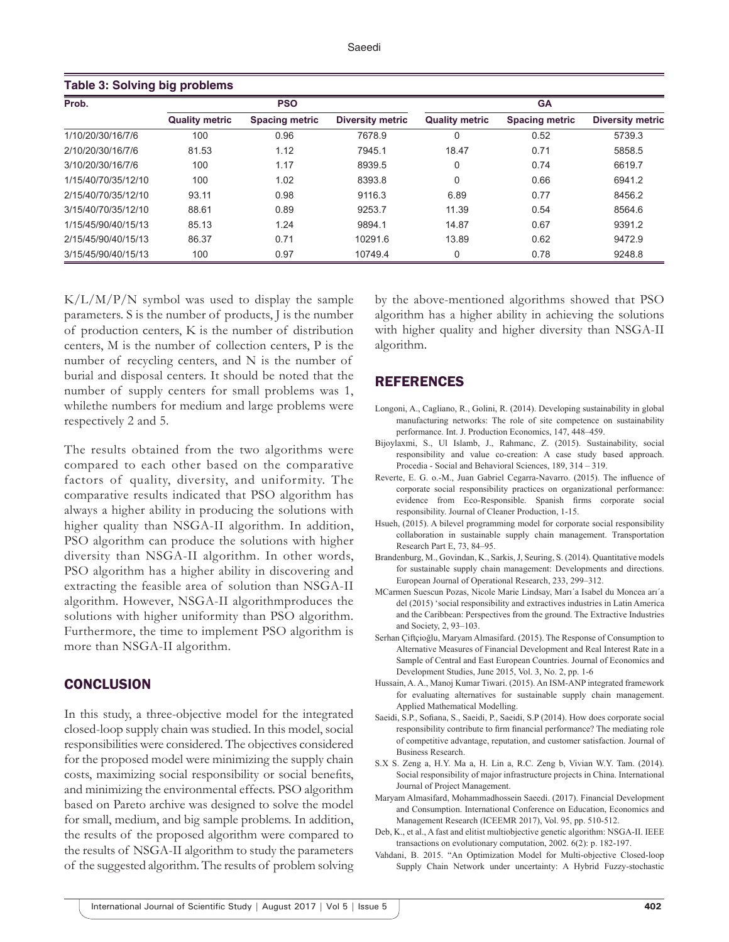| <b>Table 3: Solving big problems</b> |                       |                       |                         |                       |                       |                         |  |
|--------------------------------------|-----------------------|-----------------------|-------------------------|-----------------------|-----------------------|-------------------------|--|
| Prob.                                | <b>PSO</b>            |                       |                         | <b>GA</b>             |                       |                         |  |
|                                      | <b>Quality metric</b> | <b>Spacing metric</b> | <b>Diversity metric</b> | <b>Quality metric</b> | <b>Spacing metric</b> | <b>Diversity metric</b> |  |
| 1/10/20/30/16/7/6                    | 100                   | 0.96                  | 7678.9                  | $\Omega$              | 0.52                  | 5739.3                  |  |
| 2/10/20/30/16/7/6                    | 81.53                 | 1.12                  | 7945.1                  | 18.47                 | 0.71                  | 5858.5                  |  |
| 3/10/20/30/16/7/6                    | 100                   | 1.17                  | 8939.5                  | $\mathbf 0$           | 0.74                  | 6619.7                  |  |
| 1/15/40/70/35/12/10                  | 100                   | 1.02                  | 8393.8                  | $\Omega$              | 0.66                  | 6941.2                  |  |
| 2/15/40/70/35/12/10                  | 93.11                 | 0.98                  | 9116.3                  | 6.89                  | 0.77                  | 8456.2                  |  |
| 3/15/40/70/35/12/10                  | 88.61                 | 0.89                  | 9253.7                  | 11.39                 | 0.54                  | 8564.6                  |  |
| 1/15/45/90/40/15/13                  | 85.13                 | 1.24                  | 9894.1                  | 14.87                 | 0.67                  | 9391.2                  |  |
| 2/15/45/90/40/15/13                  | 86.37                 | 0.71                  | 10291.6                 | 13.89                 | 0.62                  | 9472.9                  |  |
| 3/15/45/90/40/15/13                  | 100                   | 0.97                  | 10749.4                 | $\Omega$              | 0.78                  | 9248.8                  |  |

 $K/L/M/P/N$  symbol was used to display the sample parameters. S is the number of products, J is the number of production centers, K is the number of distribution centers, M is the number of collection centers, P is the number of recycling centers, and N is the number of burial and disposal centers. It should be noted that the number of supply centers for small problems was 1, whilethe numbers for medium and large problems were respectively 2 and 5.

The results obtained from the two algorithms were compared to each other based on the comparative factors of quality, diversity, and uniformity. The comparative results indicated that PSO algorithm has always a higher ability in producing the solutions with higher quality than NSGA-II algorithm. In addition, PSO algorithm can produce the solutions with higher diversity than NSGA-II algorithm. In other words, PSO algorithm has a higher ability in discovering and extracting the feasible area of solution than NSGA-II algorithm. However, NSGA-II algorithmproduces the solutions with higher uniformity than PSO algorithm. Furthermore, the time to implement PSO algorithm is more than NSGA-II algorithm.

#### **CONCLUSION**

In this study, a three-objective model for the integrated closed-loop supply chain was studied. In this model, social responsibilities were considered. The objectives considered for the proposed model were minimizing the supply chain costs, maximizing social responsibility or social benefits, and minimizing the environmental effects. PSO algorithm based on Pareto archive was designed to solve the model for small, medium, and big sample problems. In addition, the results of the proposed algorithm were compared to the results of NSGA-II algorithm to study the parameters of the suggested algorithm. The results of problem solving by the above-mentioned algorithms showed that PSO algorithm has a higher ability in achieving the solutions with higher quality and higher diversity than NSGA-II algorithm.

#### REFERENCES

- Longoni, A., Cagliano, R., Golini, R. (2014). Developing sustainability in global manufacturing networks: The role of site competence on sustainability performance. Int. J. Production Economics, 147, 448–459.
- Bijoylaxmi, S., Ul Islamb, J., Rahmanc, Z. (2015). Sustainability, social responsibility and value co-creation: A case study based approach. Procedia - Social and Behavioral Sciences, 189, 314 – 319.
- Reverte, E. G. o.-M., Juan Gabriel Cegarra-Navarro. (2015). The influence of corporate social responsibility practices on organizational performance: evidence from Eco-Responsible. Spanish firms corporate social responsibility. Journal of Cleaner Production, 1-15.
- Hsueh, (2015). A bilevel programming model for corporate social responsibility collaboration in sustainable supply chain management. Transportation Research Part E, 73, 84–95.
- Brandenburg, M., Govindan, K., Sarkis, J, Seuring, S. (2014). Quantitative models for sustainable supply chain management: Developments and directions. European Journal of Operational Research, 233, 299–312.
- MCarmen Suescun Pozas, Nicole Marie Lindsay, Marı´a Isabel du Moncea arı´a del (2015) 'social responsibility and extractives industries in Latin America and the Caribbean: Perspectives from the ground. The Extractive Industries and Society, 2, 93–103.
- Serhan Çiftçioğlu, Maryam Almasifard. (2015). The Response of Consumption to Alternative Measures of Financial Development and Real Interest Rate in a Sample of Central and East European Countries. Journal of Economics and Development Studies, June 2015, Vol. 3, No. 2, pp. 1-6
- Hussain, A. A., Manoj Kumar Tiwari. (2015). An ISM-ANP integrated framework for evaluating alternatives for sustainable supply chain management. Applied Mathematical Modelling.
- Saeidi, S.P., Sofiana, S., Saeidi, P., Saeidi, S.P (2014). How does corporate social responsibility contribute to firm financial performance? The mediating role of competitive advantage, reputation, and customer satisfaction. Journal of Business Research.
- S.X S. Zeng a, H.Y. Ma a, H. Lin a, R.C. Zeng b, Vivian W.Y. Tam. (2014). Social responsibility of major infrastructure projects in China. International Journal of Project Management.
- Maryam Almasifard, Mohammadhossein Saeedi. (2017). Financial Development and Consumption. International Conference on Education, Economics and Management Research (ICEEMR 2017), Vol. 95, pp. 510-512.
- Deb, K., et al., A fast and elitist multiobjective genetic algorithm: NSGA-II. IEEE transactions on evolutionary computation, 2002. 6(2): p. 182-197.
- Vahdani, B. 2015. "An Optimization Model for Multi-objective Closed-loop Supply Chain Network under uncertainty: A Hybrid Fuzzy-stochastic